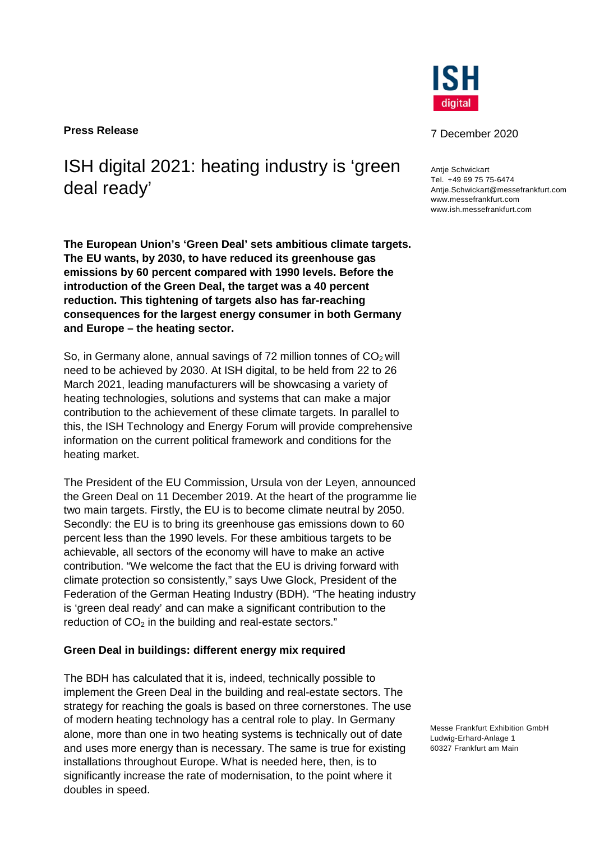**Press Release** 7 December 2020

ISH digital 2021: heating industry is 'green deal ready'

**The European Union's 'Green Deal' sets ambitious climate targets. The EU wants, by 2030, to have reduced its greenhouse gas emissions by 60 percent compared with 1990 levels. Before the introduction of the Green Deal, the target was a 40 percent reduction. This tightening of targets also has far-reaching consequences for the largest energy consumer in both Germany and Europe – the heating sector.** 

So, in Germany alone, annual savings of 72 million tonnes of  $CO<sub>2</sub>$  will need to be achieved by 2030. At ISH digital, to be held from 22 to 26 March 2021, leading manufacturers will be showcasing a variety of heating technologies, solutions and systems that can make a major contribution to the achievement of these climate targets. In parallel to this, the ISH Technology and Energy Forum will provide comprehensive information on the current political framework and conditions for the heating market.

The President of the EU Commission, Ursula von der Leyen, announced the Green Deal on 11 December 2019. At the heart of the programme lie two main targets. Firstly, the EU is to become climate neutral by 2050. Secondly: the EU is to bring its greenhouse gas emissions down to 60 percent less than the 1990 levels. For these ambitious targets to be achievable, all sectors of the economy will have to make an active contribution. "We welcome the fact that the EU is driving forward with climate protection so consistently," says Uwe Glock, President of the Federation of the German Heating Industry (BDH). "The heating industry is 'green deal ready' and can make a significant contribution to the reduction of  $CO<sub>2</sub>$  in the building and real-estate sectors."

#### **Green Deal in buildings: different energy mix required**

The BDH has calculated that it is, indeed, technically possible to implement the Green Deal in the building and real-estate sectors. The strategy for reaching the goals is based on three cornerstones. The use of modern heating technology has a central role to play. In Germany alone, more than one in two heating systems is technically out of date and uses more energy than is necessary. The same is true for existing installations throughout Europe. What is needed here, then, is to significantly increase the rate of modernisation, to the point where it doubles in speed.



**Antie Schwickart** Tel. +49 69 75 75-6474 Antje.Schwickart@messefrankfurt.com www.messefrankfurt.com www.ish.messefrankfurt.com

Messe Frankfurt Exhibition GmbH Ludwig-Erhard-Anlage 1 60327 Frankfurt am Main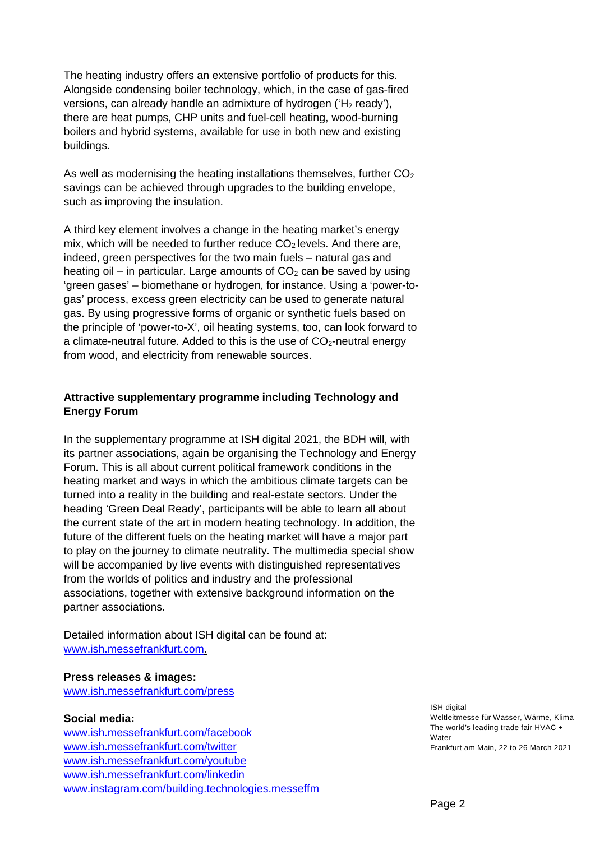The heating industry offers an extensive portfolio of products for this. Alongside condensing boiler technology, which, in the case of gas-fired versions, can already handle an admixture of hydrogen (' $H_2$  ready'), there are heat pumps, CHP units and fuel-cell heating, wood-burning boilers and hybrid systems, available for use in both new and existing buildings.

As well as modernising the heating installations themselves, further  $CO<sub>2</sub>$ savings can be achieved through upgrades to the building envelope, such as improving the insulation.

A third key element involves a change in the heating market's energy mix, which will be needed to further reduce  $CO<sub>2</sub>$  levels. And there are, indeed, green perspectives for the two main fuels – natural gas and heating oil – in particular. Large amounts of  $CO<sub>2</sub>$  can be saved by using 'green gases' – biomethane or hydrogen, for instance. Using a 'power-togas' process, excess green electricity can be used to generate natural gas. By using progressive forms of organic or synthetic fuels based on the principle of 'power-to-X', oil heating systems, too, can look forward to a climate-neutral future. Added to this is the use of  $CO<sub>2</sub>$ -neutral energy from wood, and electricity from renewable sources.

# **Attractive supplementary programme including Technology and Energy Forum**

In the supplementary programme at ISH digital 2021, the BDH will, with its partner associations, again be organising the Technology and Energy Forum. This is all about current political framework conditions in the heating market and ways in which the ambitious climate targets can be turned into a reality in the building and real-estate sectors. Under the heading 'Green Deal Ready', participants will be able to learn all about the current state of the art in modern heating technology. In addition, the future of the different fuels on the heating market will have a major part to play on the journey to climate neutrality. The multimedia special show will be accompanied by live events with distinguished representatives from the worlds of politics and industry and the professional associations, together with extensive background information on the partner associations.

Detailed information about ISH digital can be found at: [www.ish.messefrankfurt.com](http://www.ish.messefrankfurt.com/).

### **Press releases & images:**

[www.ish.messefrankfurt.com/press](http://www.ish.messefrankfurt.com/press) 

## **Social media:**

[www.ish.messefrankfurt.com/facebook](http://www.ish.messefrankfurt.com/facebook) [www.ish.messefrankfurt.com/twitter](http://www.ish.messefrankfurt.com/twitter) [www.ish.messefrankfurt.com/youtube](http://www.ish.messefrankfurt.com/youtube) [www.ish.messefrankfurt.com/linkedin](http://www.ish.messefrankfurt.com/linkedin) [www.instagram.com/building.technologies.messeffm](http://www.instagram.com/building.technologies.messeffm) ISH digital Weltleitmesse für Wasser, Wärme, Klima The world's leading trade fair HVAC + Water Frankfurt am Main, 22 to 26 March 2021